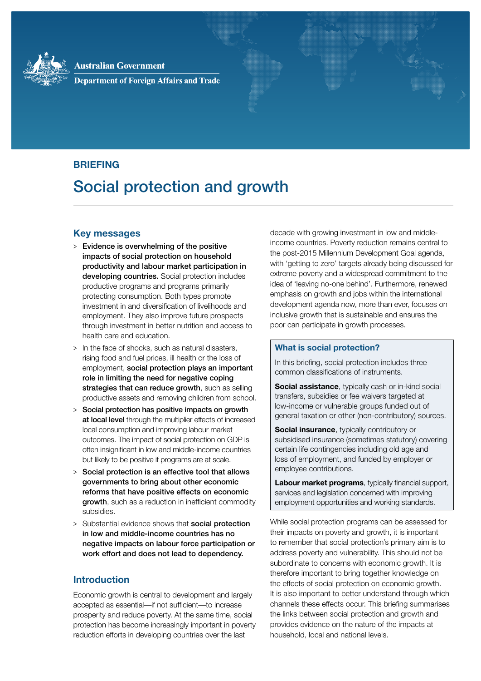

**Australian Government Department of Foreign Affairs and Trade** 

# **BRIEFING**

# Social protection and growth

## **Key messages**

- > Evidence is overwhelming of the positive impacts of social protection on household productivity and labour market participation in developing countries. Social protection includes productive programs and programs primarily protecting consumption. Both types promote investment in and diversification of livelihoods and employment. They also improve future prospects through investment in better nutrition and access to health care and education.
- > In the face of shocks, such as natural disasters, rising food and fuel prices, ill health or the loss of employment, social protection plays an important role in limiting the need for negative coping strategies that can reduce growth, such as selling productive assets and removing children from school.
- > Social protection has positive impacts on growth at local level through the multiplier effects of increased local consumption and improving labour market outcomes. The impact of social protection on GDP is often insignificant in low and middle-income countries but likely to be positive if programs are at scale.
- > Social protection is an effective tool that allows governments to bring about other economic reforms that have positive effects on economic growth, such as a reduction in inefficient commodity subsidies.
- > Substantial evidence shows that **social protection** in low and middle-income countries has no negative impacts on labour force participation or work effort and does not lead to dependency.

# **Introduction**

Economic growth is central to development and largely accepted as essential—if not sufficient—to increase prosperity and reduce poverty. At the same time, social protection has become increasingly important in poverty reduction efforts in developing countries over the last

decade with growing investment in low and middleincome countries. Poverty reduction remains central to the post-2015 Millennium Development Goal agenda, with 'getting to zero' targets already being discussed for extreme poverty and a widespread commitment to the idea of 'leaving no-one behind'. Furthermore, renewed emphasis on growth and jobs within the international development agenda now, more than ever, focuses on inclusive growth that is sustainable and ensures the poor can participate in growth processes.

### **What is social protection?**

In this briefing, social protection includes three common classifications of instruments.

**Social assistance**, typically cash or in-kind social transfers, subsidies or fee waivers targeted at low-income or vulnerable groups funded out of general taxation or other (non-contributory) sources.

**Social insurance**, typically contributory or subsidised insurance (sometimes statutory) covering certain life contingencies including old age and loss of employment, and funded by employer or employee contributions.

**Labour market programs**, typically financial support, services and legislation concerned with improving employment opportunities and working standards.

While social protection programs can be assessed for their impacts on poverty and growth, it is important to remember that social protection's primary aim is to address poverty and vulnerability. This should not be subordinate to concerns with economic growth. It is therefore important to bring together knowledge on the effects of social protection on economic growth. It is also important to better understand through which channels these effects occur. This briefing summarises the links between social protection and growth and provides evidence on the nature of the impacts at household, local and national levels.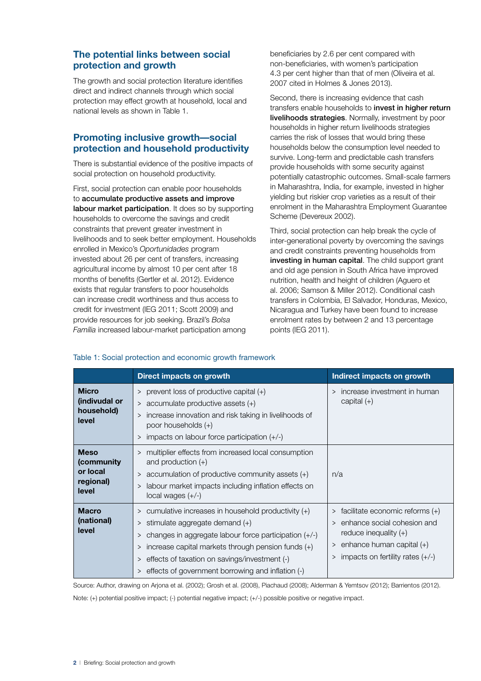# **The potential links between social protection and growth**

The growth and social protection literature identifies direct and indirect channels through which social protection may effect growth at household, local and national levels as shown in Table 1.

# **Promoting inclusive growth—social protection and household productivity**

There is substantial evidence of the positive impacts of social protection on household productivity.

First, social protection can enable poor households to accumulate productive assets and improve labour market participation. It does so by supporting households to overcome the savings and credit constraints that prevent greater investment in livelihoods and to seek better employment. Households enrolled in Mexico's *Oportunidades* program invested about 26 per cent of transfers, increasing agricultural income by almost 10 per cent after 18 months of benefits (Gertler et al. 2012). Evidence exists that regular transfers to poor households can increase credit worthiness and thus access to credit for investment (IEG 2011; Scott 2009) and provide resources for job seeking. Brazil's *Bolsa Família* increased labour-market participation among

beneficiaries by 2.6 per cent compared with non-beneficiaries, with women's participation 4.3 per cent higher than that of men (Oliveira et al. 2007 cited in Holmes & Jones 2013).

Second, there is increasing evidence that cash transfers enable households to invest in higher return livelihoods strategies. Normally, investment by poor households in higher return livelihoods strategies carries the risk of losses that would bring these households below the consumption level needed to survive. Long-term and predictable cash transfers provide households with some security against potentially catastrophic outcomes. Small-scale farmers in Maharashtra, India, for example, invested in higher yielding but riskier crop varieties as a result of their enrolment in the Maharashtra Employment Guarantee Scheme (Devereux 2002).

Third, social protection can help break the cycle of inter-generational poverty by overcoming the savings and credit constraints preventing households from investing in human capital. The child support grant and old age pension in South Africa have improved nutrition, health and height of children (Aguero et al. 2006; Samson & Miller 2012). Conditional cash transfers in Colombia, El Salvador, Honduras, Mexico, Nicaragua and Turkey have been found to increase enrolment rates by between 2 and 13 percentage points (IEG 2011).

|                                                             | <b>Direct impacts on growth</b>                                                                                                                                                                                                                                                                                                          | Indirect impacts on growth                                                                                                                                                         |
|-------------------------------------------------------------|------------------------------------------------------------------------------------------------------------------------------------------------------------------------------------------------------------------------------------------------------------------------------------------------------------------------------------------|------------------------------------------------------------------------------------------------------------------------------------------------------------------------------------|
| <b>Micro</b><br>(indivudal or<br>household)<br>level        | > prevent loss of productive capital (+)<br>$>$ accumulate productive assets $(+)$<br>> increase innovation and risk taking in livelihoods of<br>poor households (+)<br>> impacts on labour force participation $(+/-)$                                                                                                                  | increase investment in human<br>$\geq$<br>capital $(+)$                                                                                                                            |
| <b>Meso</b><br>(community<br>or local<br>regional)<br>level | > multiplier effects from increased local consumption<br>and production $(+)$<br>> accumulation of productive community assets (+)<br>labour market impacts including inflation effects on<br>><br>local wages $(+/-)$                                                                                                                   | n/a                                                                                                                                                                                |
| <b>Macro</b><br>(national)<br>level                         | $>$ cumulative increases in household productivity $(+)$<br>$>$ stimulate aggregate demand $(+)$<br>changes in aggregate labour force participation (+/-)<br>><br>increase capital markets through pension funds $(+)$<br>><br>effects of taxation on savings/investment (-)<br>><br>> effects of government borrowing and inflation (-) | $>$ facilitate economic reforms $(+)$<br>> enhance social cohesion and<br>reduce inequality $(+)$<br>> enhance human capital $(+)$<br>impacts on fertility rates $(+/-)$<br>$\geq$ |

#### Table 1: Social protection and economic growth framework

Source: Author, drawing on Arjona et al. (2002); Grosh et al. (2008), Piachaud (2008); Alderman & Yemtsov (2012); Barrientos (2012).

Note: (+) potential positive impact; (-) potential negative impact; (+/-) possible positive or negative impact.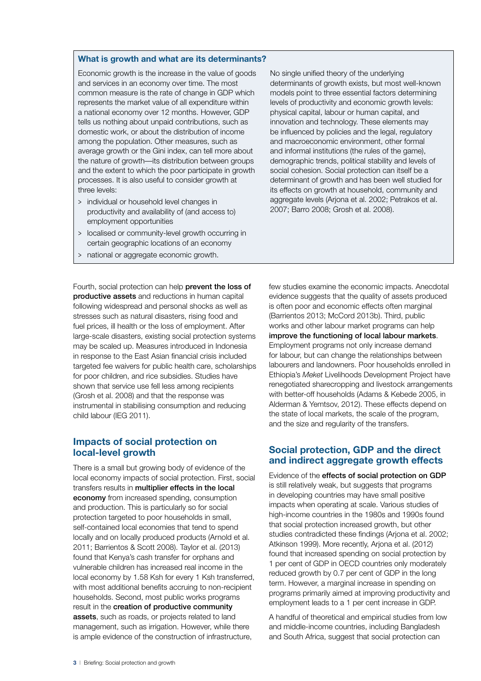#### **What is growth and what are its determinants?**

Economic growth is the increase in the value of goods and services in an economy over time. The most common measure is the rate of change in GDP which represents the market value of all expenditure within a national economy over 12 months. However, GDP tells us nothing about unpaid contributions, such as domestic work, or about the distribution of income among the population. Other measures, such as average growth or the Gini index, can tell more about the nature of growth—its distribution between groups and the extent to which the poor participate in growth processes. It is also useful to consider growth at three levels:

- > individual or household level changes in productivity and availability of (and access to) employment opportunities
- > localised or community-level growth occurring in certain geographic locations of an economy
- > national or aggregate economic growth.

No single unified theory of the underlying determinants of growth exists, but most well-known models point to three essential factors determining levels of productivity and economic growth levels: physical capital, labour or human capital, and innovation and technology. These elements may be influenced by policies and the legal, regulatory and macroeconomic environment, other formal and informal institutions (the rules of the game), demographic trends, political stability and levels of social cohesion. Social protection can itself be a determinant of growth and has been well studied for its effects on growth at household, community and aggregate levels (Arjona et al. 2002; Petrakos et al. 2007; Barro 2008; Grosh et al. 2008).

Fourth, social protection can help prevent the loss of productive assets and reductions in human capital following widespread and personal shocks as well as stresses such as natural disasters, rising food and fuel prices, ill health or the loss of employment. After large-scale disasters, existing social protection systems may be scaled up. Measures introduced in Indonesia in response to the East Asian financial crisis included targeted fee waivers for public health care, scholarships for poor children, and rice subsidies. Studies have shown that service use fell less among recipients (Grosh et al. 2008) and that the response was instrumental in stabilising consumption and reducing child labour (IEG 2011).

## **Impacts of social protection on local‑level growth**

There is a small but growing body of evidence of the local economy impacts of social protection. First, social transfers results in multiplier effects in the local economy from increased spending, consumption and production. This is particularly so for social protection targeted to poor households in small, self-contained local economies that tend to spend locally and on locally produced products (Arnold et al. 2011; Barrientos & Scott 2008). Taylor et al. (2013) found that Kenya's cash transfer for orphans and vulnerable children has increased real income in the local economy by 1.58 Ksh for every 1 Ksh transferred, with most additional benefits accruing to non-recipient households. Second, most public works programs result in the creation of productive community assets, such as roads, or projects related to land management, such as irrigation. However, while there is ample evidence of the construction of infrastructure,

few studies examine the economic impacts. Anecdotal evidence suggests that the quality of assets produced is often poor and economic effects often marginal (Barrientos 2013; McCord 2013b). Third, public works and other labour market programs can help improve the functioning of local labour markets. Employment programs not only increase demand for labour, but can change the relationships between labourers and landowners. Poor households enrolled in Ethiopia's *Meket* Livelihoods Development Project have renegotiated sharecropping and livestock arrangements with better-off households (Adams & Kebede 2005, in Alderman & Yemtsov, 2012). These effects depend on the state of local markets, the scale of the program, and the size and regularity of the transfers.

## **Social protection, GDP and the direct and indirect aggregate growth effects**

Evidence of the effects of social protection on GDP is still relatively weak, but suggests that programs in developing countries may have small positive impacts when operating at scale. Various studies of high-income countries in the 1980s and 1990s found that social protection increased growth, but other studies contradicted these findings (Arjona et al. 2002; Atkinson 1999). More recently, Arjona et al. (2012) found that increased spending on social protection by 1 per cent of GDP in OECD countries only moderately reduced growth by 0.7 per cent of GDP in the long term. However, a marginal increase in spending on programs primarily aimed at improving productivity and employment leads to a 1 per cent increase in GDP.

A handful of theoretical and empirical studies from low and middle-income countries, including Bangladesh and South Africa, suggest that social protection can